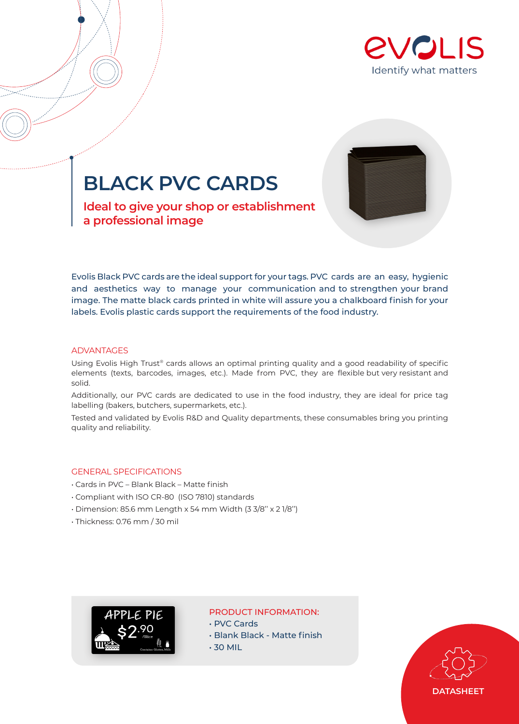

# **BLACK PVC CARDS**

**Ideal to give your shop or establishment a professional image**

Evolis Black PVC cards are the ideal support for your tags. PVC cards are an easy, hygienic and aesthetics way to manage your communication and to strengthen your brand image. The matte black cards printed in white will assure you a chalkboard finish for your labels. Evolis plastic cards support the requirements of the food industry.

### ADVANTAGES

Using Evolis High Trust® cards allows an optimal printing quality and a good readability of specific elements (texts, barcodes, images, etc.). Made from PVC, they are flexible but very resistant and solid.

Additionally, our PVC cards are dedicated to use in the food industry, they are ideal for price tag labelling (bakers, butchers, supermarkets, etc.).

Tested and validated by Evolis R&D and Quality departments, these consumables bring you printing quality and reliability.

#### GENERAL SPECIFICATIONS

- Cards in PVC Blank Black Matte finish
- Compliant with ISO CR-80 (ISO 7810) standards
- Dimension: 85.6 mm Length x 54 mm Width (3 3/8'' x 2 1/8'')
- Thickness: 0.76 mm / 30 mil



### PRODUCT INFORMATION:

- PVC Cards
- Blank Black Matte finish
- 30 MIL